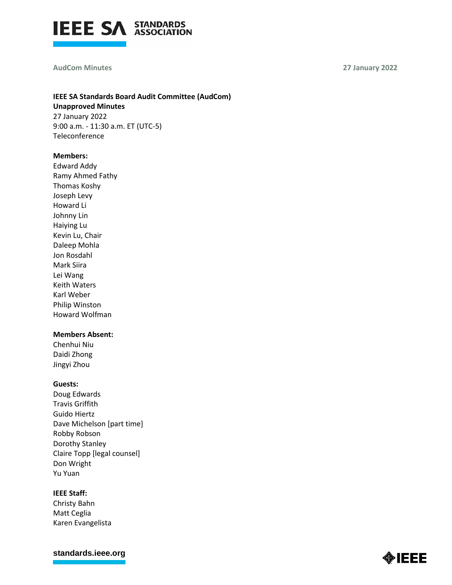

#### **AudCom Minutes 27 January 2022**

## **IEEE SA Standards Board Audit Committee (AudCom) Unapproved Minutes** 27 January 2022 9:00 a.m. - 11:30 a.m. ET (UTC-5)

Teleconference

### **Members:**

Edward Addy Ramy Ahmed Fathy Thomas Koshy Joseph Levy Howard Li Johnny Lin Haiying Lu Kevin Lu, Chair Daleep Mohla Jon Rosdahl Mark Siira Lei Wang Keith Waters Karl Weber Philip Winston Howard Wolfman

## **Members Absent:**

Chenhui Niu Daidi Zhong Jingyi Zhou

### **Guests:**

Doug Edwards Travis Griffith Guido Hiertz Dave Michelson [part time] Robby Robson Dorothy Stanley Claire Topp [legal counsel] Don Wright Yu Yuan

### **IEEE Staff:**

Christy Bahn Matt Ceglia Karen Evangelista

**[standards.ieee.org](http://standards.ieee.org/)**

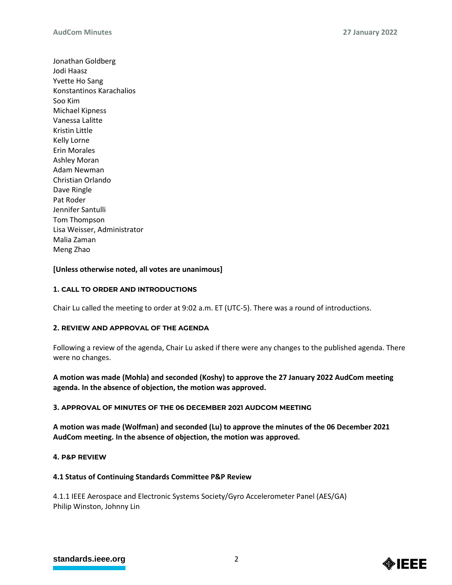Jonathan Goldberg Jodi Haasz Yvette Ho Sang Konstantinos Karachalios Soo Kim Michael Kipness Vanessa Lalitte Kristin Little Kelly Lorne Erin Morales Ashley Moran Adam Newman Christian Orlando Dave Ringle Pat Roder Jennifer Santulli Tom Thompson Lisa Weisser, Administrator Malia Zaman Meng Zhao

## **[Unless otherwise noted, all votes are unanimous]**

## **1. CALL TO ORDER AND INTRODUCTIONS**

Chair Lu called the meeting to order at 9:02 a.m. ET (UTC-5). There was a round of introductions.

### **2. REVIEW AND APPROVAL OF THE AGENDA**

Following a review of the agenda, Chair Lu asked if there were any changes to the published agenda. There were no changes.

## **A motion was made (Mohla) and seconded (Koshy) to approve the 27 January 2022 AudCom meeting agenda. In the absence of objection, the motion was approved.**

### **3. APPROVAL OF MINUTES OF THE 06 DECEMBER 2021 AUDCOM MEETING**

**A motion was made (Wolfman) and seconded (Lu) to approve the minutes of the 06 December 2021 AudCom meeting. In the absence of objection, the motion was approved.**

### **4. P&P REVIEW**

### **4.1 Status of Continuing Standards Committee P&P Review**

4.1.1 IEEE Aerospace and Electronic Systems Society/Gyro Accelerometer Panel (AES/GA) Philip Winston, Johnny Lin

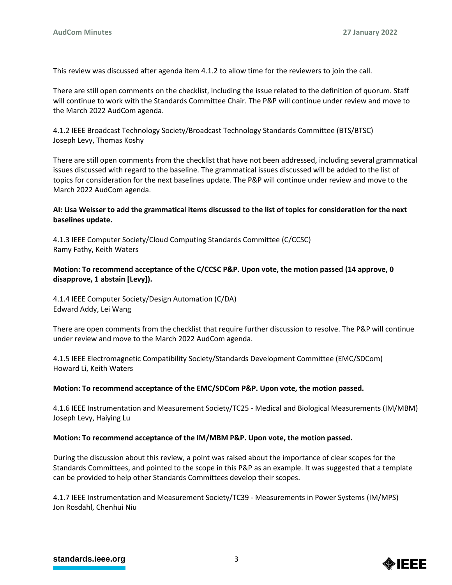This review was discussed after agenda item 4.1.2 to allow time for the reviewers to join the call.

There are still open comments on the checklist, including the issue related to the definition of quorum. Staff will continue to work with the Standards Committee Chair. The P&P will continue under review and move to the March 2022 AudCom agenda.

4.1.2 IEEE Broadcast Technology Society/Broadcast Technology Standards Committee (BTS/BTSC) Joseph Levy, Thomas Koshy

There are still open comments from the checklist that have not been addressed, including several grammatical issues discussed with regard to the baseline. The grammatical issues discussed will be added to the list of topics for consideration for the next baselines update. The P&P will continue under review and move to the March 2022 AudCom agenda.

## **AI: Lisa Weisser to add the grammatical items discussed to the list of topics for consideration for the next baselines update.**

4.1.3 IEEE Computer Society/Cloud Computing Standards Committee (C/CCSC) Ramy Fathy, Keith Waters

# **Motion: To recommend acceptance of the C/CCSC P&P. Upon vote, the motion passed (14 approve, 0 disapprove, 1 abstain [Levy]).**

4.1.4 IEEE Computer Society/Design Automation (C/DA) Edward Addy, Lei Wang

There are open comments from the checklist that require further discussion to resolve. The P&P will continue under review and move to the March 2022 AudCom agenda.

4.1.5 IEEE Electromagnetic Compatibility Society/Standards Development Committee (EMC/SDCom) Howard Li, Keith Waters

## **Motion: To recommend acceptance of the EMC/SDCom P&P. Upon vote, the motion passed.**

4.1.6 IEEE Instrumentation and Measurement Society/TC25 - Medical and Biological Measurements (IM/MBM) Joseph Levy, Haiying Lu

## **Motion: To recommend acceptance of the IM/MBM P&P. Upon vote, the motion passed.**

During the discussion about this review, a point was raised about the importance of clear scopes for the Standards Committees, and pointed to the scope in this P&P as an example. It was suggested that a template can be provided to help other Standards Committees develop their scopes.

4.1.7 IEEE Instrumentation and Measurement Society/TC39 - Measurements in Power Systems (IM/MPS) Jon Rosdahl, Chenhui Niu

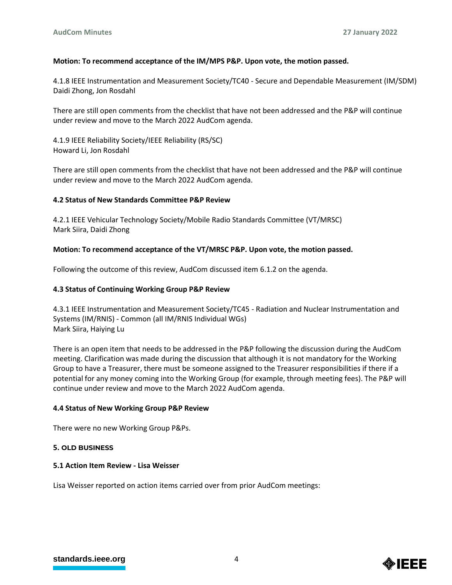## **Motion: To recommend acceptance of the IM/MPS P&P. Upon vote, the motion passed.**

4.1.8 IEEE Instrumentation and Measurement Society/TC40 - Secure and Dependable Measurement (IM/SDM) Daidi Zhong, Jon Rosdahl

There are still open comments from the checklist that have not been addressed and the P&P will continue under review and move to the March 2022 AudCom agenda.

4.1.9 IEEE Reliability Society/IEEE Reliability (RS/SC) Howard Li, Jon Rosdahl

There are still open comments from the checklist that have not been addressed and the P&P will continue under review and move to the March 2022 AudCom agenda.

## **4.2 Status of New Standards Committee P&P Review**

4.2.1 IEEE Vehicular Technology Society/Mobile Radio Standards Committee (VT/MRSC) Mark Siira, Daidi Zhong

## **Motion: To recommend acceptance of the VT/MRSC P&P. Upon vote, the motion passed.**

Following the outcome of this review, AudCom discussed item 6.1.2 on the agenda.

## **4.3 Status of Continuing Working Group P&P Review**

4.3.1 IEEE Instrumentation and Measurement Society/TC45 - Radiation and Nuclear Instrumentation and Systems (IM/RNIS) - Common (all IM/RNIS Individual WGs) Mark Siira, Haiying Lu

There is an open item that needs to be addressed in the P&P following the discussion during the AudCom meeting. Clarification was made during the discussion that although it is not mandatory for the Working Group to have a Treasurer, there must be someone assigned to the Treasurer responsibilities if there if a potential for any money coming into the Working Group (for example, through meeting fees). The P&P will continue under review and move to the March 2022 AudCom agenda.

## **4.4 Status of New Working Group P&P Review**

There were no new Working Group P&Ps.

## **5. OLD BUSINESS**

### **5.1 Action Item Review - Lisa Weisser**

Lisa Weisser reported on action items carried over from prior AudCom meetings:

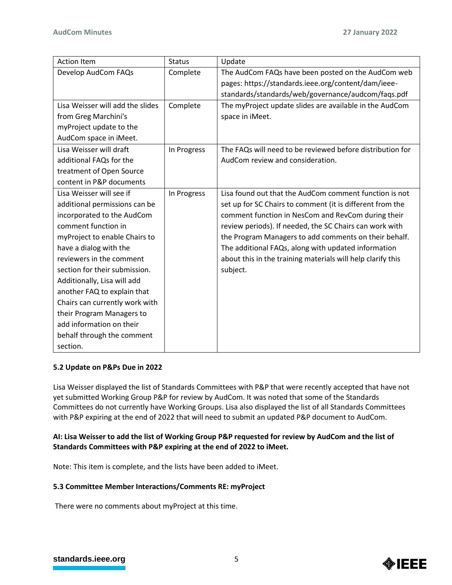| <b>Action Item</b>               | <b>Status</b> | Update                                                      |
|----------------------------------|---------------|-------------------------------------------------------------|
| Develop AudCom FAQs              | Complete      | The AudCom FAQs have been posted on the AudCom web          |
|                                  |               | pages: https://standards.ieee.org/content/dam/ieee-         |
|                                  |               | standards/standards/web/governance/audcom/faqs.pdf          |
| Lisa Weisser will add the slides | Complete      | The myProject update slides are available in the AudCom     |
| from Greg Marchini's             |               | space in iMeet.                                             |
| myProject update to the          |               |                                                             |
| AudCom space in iMeet.           |               |                                                             |
| Lisa Weisser will draft          | In Progress   | The FAQs will need to be reviewed before distribution for   |
| additional FAQs for the          |               | AudCom review and consideration.                            |
| treatment of Open Source         |               |                                                             |
| content in P&P documents         |               |                                                             |
| Lisa Weisser will see if         | In Progress   | Lisa found out that the AudCom comment function is not      |
| additional permissions can be    |               | set up for SC Chairs to comment (it is different from the   |
| incorporated to the AudCom       |               | comment function in NesCom and RevCom during their          |
| comment function in              |               | review periods). If needed, the SC Chairs can work with     |
| myProject to enable Chairs to    |               | the Program Managers to add comments on their behalf.       |
| have a dialog with the           |               | The additional FAQs, along with updated information         |
| reviewers in the comment         |               | about this in the training materials will help clarify this |
| section for their submission.    |               | subject.                                                    |
| Additionally, Lisa will add      |               |                                                             |
| another FAQ to explain that      |               |                                                             |
| Chairs can currently work with   |               |                                                             |
| their Program Managers to        |               |                                                             |
| add information on their         |               |                                                             |
| behalf through the comment       |               |                                                             |
| section.                         |               |                                                             |

## **5.2 Update on P&Ps Due in 2022**

Lisa Weisser displayed the list of Standards Committees with P&P that were recently accepted that have not yet submitted Working Group P&P for review by AudCom. It was noted that some of the Standards Committees do not currently have Working Groups. Lisa also displayed the list of all Standards Committees with P&P expiring at the end of 2022 that will need to submit an updated P&P document to AudCom.

# **AI: Lisa Weisser to add the list of Working Group P&P requested for review by AudCom and the list of Standards Committees with P&P expiring at the end of 2022 to iMeet.**

Note: This item is complete, and the lists have been added to iMeet.

# **5.3 Committee Member Interactions/Comments RE: myProject**

There were no comments about myProject at this time.